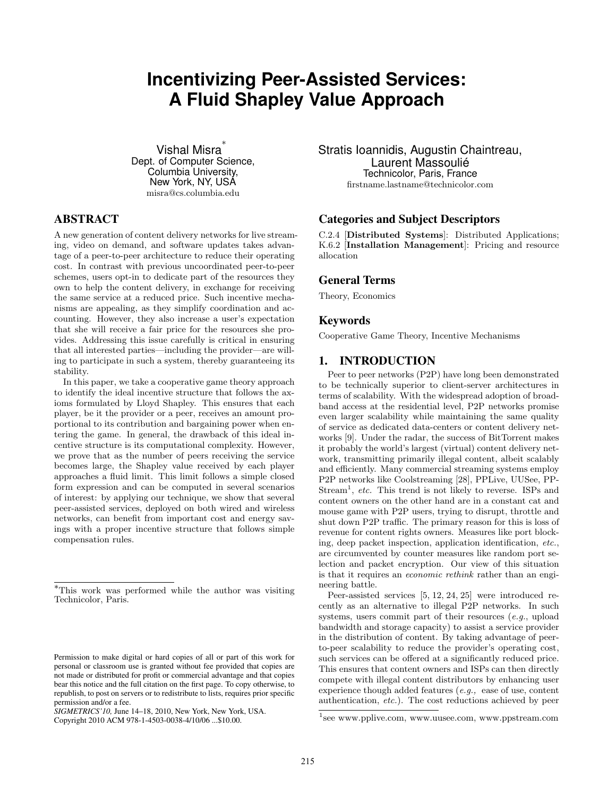# **Incentivizing Peer-Assisted Services: A Fluid Shapley Value Approach**

Vishal Misra ∗ Dept. of Computer Science, Columbia University, New York, NY, USA misra@cs.columbia.edu

# ABSTRACT

A new generation of content delivery networks for live streaming, video on demand, and software updates takes advantage of a peer-to-peer architecture to reduce their operating cost. In contrast with previous uncoordinated peer-to-peer schemes, users opt-in to dedicate part of the resources they own to help the content delivery, in exchange for receiving the same service at a reduced price. Such incentive mechanisms are appealing, as they simplify coordination and accounting. However, they also increase a user's expectation that she will receive a fair price for the resources she provides. Addressing this issue carefully is critical in ensuring that all interested parties—including the provider—are willing to participate in such a system, thereby guaranteeing its stability.

In this paper, we take a cooperative game theory approach to identify the ideal incentive structure that follows the axioms formulated by Lloyd Shapley. This ensures that each player, be it the provider or a peer, receives an amount proportional to its contribution and bargaining power when entering the game. In general, the drawback of this ideal incentive structure is its computational complexity. However, we prove that as the number of peers receiving the service becomes large, the Shapley value received by each player approaches a fluid limit. This limit follows a simple closed form expression and can be computed in several scenarios of interest: by applying our technique, we show that several peer-assisted services, deployed on both wired and wireless networks, can benefit from important cost and energy savings with a proper incentive structure that follows simple compensation rules.

*SIGMETRICS'10,* June 14–18, 2010, New York, New York, USA.

Copyright 2010 ACM 978-1-4503-0038-4/10/06 ...\$10.00.

Stratis Ioannidis, Augustin Chaintreau, Laurent Massoulié Technicolor, Paris, France firstname.lastname@technicolor.com

# Categories and Subject Descriptors

C.2.4 [Distributed Systems]: Distributed Applications; K.6.2 [Installation Management]: Pricing and resource allocation

## General Terms

Theory, Economics

# Keywords

Cooperative Game Theory, Incentive Mechanisms

## 1. INTRODUCTION

Peer to peer networks (P2P) have long been demonstrated to be technically superior to client-server architectures in terms of scalability. With the widespread adoption of broadband access at the residential level, P2P networks promise even larger scalability while maintaining the same quality of service as dedicated data-centers or content delivery networks [9]. Under the radar, the success of BitTorrent makes it probably the world's largest (virtual) content delivery network, transmitting primarily illegal content, albeit scalably and efficiently. Many commercial streaming systems employ P2P networks like Coolstreaming [28], PPLive, UUSee, PP-Stream<sup>1</sup>, etc. This trend is not likely to reverse. ISPs and content owners on the other hand are in a constant cat and mouse game with P2P users, trying to disrupt, throttle and shut down P2P traffic. The primary reason for this is loss of revenue for content rights owners. Measures like port blocking, deep packet inspection, application identification, etc., are circumvented by counter measures like random port selection and packet encryption. Our view of this situation is that it requires an economic rethink rather than an engineering battle.

Peer-assisted services [5, 12, 24, 25] were introduced recently as an alternative to illegal P2P networks. In such systems, users commit part of their resources (e.g., upload bandwidth and storage capacity) to assist a service provider in the distribution of content. By taking advantage of peerto-peer scalability to reduce the provider's operating cost, such services can be offered at a significantly reduced price. This ensures that content owners and ISPs can then directly compete with illegal content distributors by enhancing user experience though added features (e.g., ease of use, content authentication, etc.). The cost reductions achieved by peer

<sup>∗</sup>This work was performed while the author was visiting Technicolor, Paris.

Permission to make digital or hard copies of all or part of this work for personal or classroom use is granted without fee provided that copies are not made or distributed for profit or commercial advantage and that copies bear this notice and the full citation on the first page. To copy otherwise, to republish, to post on servers or to redistribute to lists, requires prior specific permission and/or a fee.

<sup>1</sup> see www.pplive.com, www.uusee.com, www.ppstream.com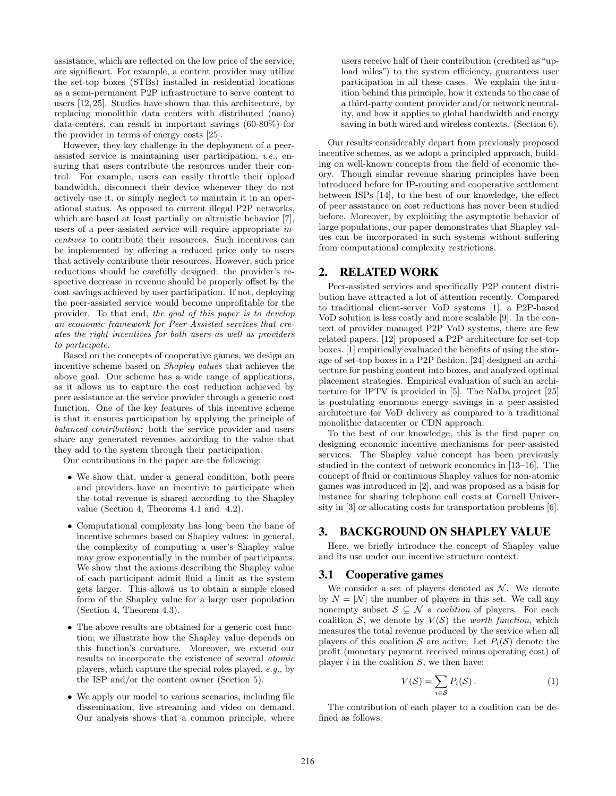assistance, which are reflected on the low price of the service, are significant. For example, a content provider may utilize the set-top boxes (STBs) installed in residential locations as a semi-permanent P2P infrastructure to serve content to users [12, 25]. Studies have shown that this architecture, by replacing monolithic data centers with distributed (nano) data-centers, can result in important savings (60-80%) for the provider in terms of energy costs [25].

However, they key challenge in the deployment of a peerassisted service is maintaining user participation, i.e., ensuring that users contribute the resources under their control. For example, users can easily throttle their upload bandwidth, disconnect their device whenever they do not actively use it, or simply neglect to maintain it in an operational status. As opposed to current illegal P2P networks, which are based at least partially on altruistic behavior [7], users of a peer-assisted service will require appropriate incentives to contribute their resources. Such incentives can be implemented by offering a reduced price only to users that actively contribute their resources. However, such price reductions should be carefully designed: the provider's respective decrease in revenue should be properly offset by the cost savings achieved by user participation. If not, deploying the peer-assisted service would become unprofitable for the provider. To that end, the goal of this paper is to develop an economic framework for Peer-Assisted services that creates the right incentives for both users as well as providers to participate.

Based on the concepts of cooperative games, we design an incentive scheme based on Shapley values that achieves the above goal. Our scheme has a wide range of applications, as it allows us to capture the cost reduction achieved by peer assistance at the service provider through a generic cost function. One of the key features of this incentive scheme is that it ensures participation by applying the principle of balanced contribution: both the service provider and users share any generated revenues according to the value that they add to the system through their participation.

Our contributions in the paper are the following:

- We show that, under a general condition, both peers and providers have an incentive to participate when the total revenue is shared according to the Shapley value (Section 4, Theorems 4.1 and 4.2).
- Computational complexity has long been the bane of incentive schemes based on Shapley values: in general, the complexity of computing a user's Shapley value may grow exponentially in the number of participants. We show that the axioms describing the Shapley value of each participant admit fluid a limit as the system gets larger. This allows us to obtain a simple closed form of the Shapley value for a large user population (Section 4, Theorem 4.3).
- The above results are obtained for a generic cost function; we illustrate how the Shapley value depends on this function's curvature. Moreover, we extend our results to incorporate the existence of several atomic players, which capture the special roles played, e.g., by the ISP and/or the content owner (Section 5).
- We apply our model to various scenarios, including file dissemination, live streaming and video on demand. Our analysis shows that a common principle, where

users receive half of their contribution (credited as "upload miles") to the system efficiency, guarantees user participation in all these cases. We explain the intuition behind this principle, how it extends to the case of a third-party content provider and/or network neutrality, and how it applies to global bandwidth and energy saving in both wired and wireless contexts. (Section 6).

Our results considerably depart from previously proposed incentive schemes, as we adopt a principled approach, building on well-known concepts from the field of economic theory. Though similar revenue sharing principles have been introduced before for IP-routing and cooperative settlement between ISPs [14], to the best of our knowledge, the effect of peer assistance on cost reductions has never been studied before. Moreover, by exploiting the asymptotic behavior of large populations, our paper demonstrates that Shapley values can be incorporated in such systems without suffering from computational complexity restrictions.

# 2. RELATED WORK

Peer-assisted services and specifically P2P content distribution have attracted a lot of attention recently. Compared to traditional client-server VoD systems [1], a P2P-based VoD solution is less costly and more scalable [9]. In the context of provider managed P2P VoD systems, there are few related papers. [12] proposed a P2P architecture for set-top boxes. [1] empirically evaluated the benefits of using the storage of set-top boxes in a P2P fashion. [24] designed an architecture for pushing content into boxes, and analyzed optimal placement strategies. Empirical evaluation of such an architecture for IPTV is provided in [5]. The NaDa project [25] is postulating enormous energy savings in a peer-assisted architecture for VoD delivery as compared to a traditional monolithic datacenter or CDN approach.

To the best of our knowledge, this is the first paper on designing economic incentive mechanisms for peer-assisted services. The Shapley value concept has been previously studied in the context of network economics in [13–16]. The concept of fluid or continuous Shapley values for non-atomic games was introduced in [2], and was proposed as a basis for instance for sharing telephone call costs at Cornell University in [3] or allocating costs for transportation problems [6].

# 3. BACKGROUND ON SHAPLEY VALUE

Here, we briefly introduce the concept of Shapley value and its use under our incentive structure context.

#### 3.1 Cooperative games

We consider a set of players denoted as  $\mathcal N$ . We denote by  $N = |\mathcal{N}|$  the number of players in this set. We call any nonempty subset  $S \subseteq \mathcal{N}$  a *coalition* of players. For each coalition S, we denote by  $V(S)$  the worth function, which measures the total revenue produced by the service when all players of this coalition S are active. Let  $P_i(\mathcal{S})$  denote the profit (monetary payment received minus operating cost) of player  $i$  in the coalition  $S$ , we then have:

$$
V(S) = \sum_{i \in S} P_i(S).
$$
 (1)

The contribution of each player to a coalition can be defined as follows.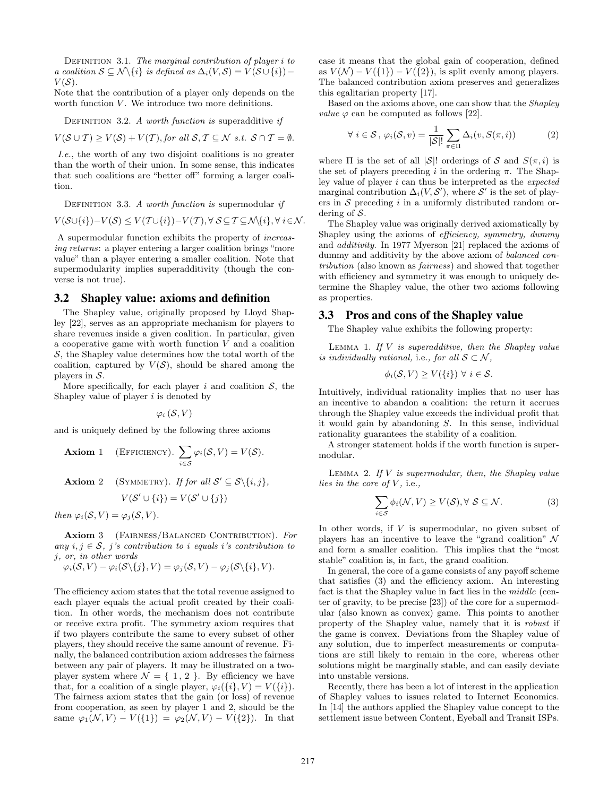DEFINITION 3.1. The marginal contribution of player  $i$  to a coalition  $S \subseteq \mathcal{N}\backslash\{i\}$  is defined as  $\Delta_i(V, \mathcal{S}) = V(\mathcal{S} \cup \{i\})$  –  $V(S)$ .

Note that the contribution of a player only depends on the worth function  $V$ . We introduce two more definitions.

DEFINITION 3.2. A worth function is superadditive if

$$
V(S \cup T) \ge V(S) + V(T), \text{for all } S, T \subseteq \mathcal{N} \text{ s.t. } S \cap T = \emptyset.
$$

I.e., the worth of any two disjoint coalitions is no greater than the worth of their union. In some sense, this indicates that such coalitions are "better off" forming a larger coalition.

DEFINITION 3.3. A worth function is supermodular if

$$
V(\mathcal{S}\cup\{i\})-V(\mathcal{S})\leq V(\mathcal{T}\cup\{i\})-V(\mathcal{T}),\forall\ \mathcal{S}\subseteq\mathcal{T}\subseteq\mathcal{N}\backslash\{i\},\forall\ i\in\mathcal{N}.
$$

A supermodular function exhibits the property of increasing returns: a player entering a larger coalition brings "more value" than a player entering a smaller coalition. Note that supermodularity implies superadditivity (though the converse is not true).

## 3.2 Shapley value: axioms and definition

The Shapley value, originally proposed by Lloyd Shapley [22], serves as an appropriate mechanism for players to share revenues inside a given coalition. In particular, given a cooperative game with worth function  $V$  and a coalition  $S$ , the Shapley value determines how the total worth of the coalition, captured by  $V(S)$ , should be shared among the players in S.

More specifically, for each player  $i$  and coalition  $S$ , the Shapley value of player  $i$  is denoted by

$$
\varphi_{i}\left(\mathcal{S},V\right)
$$

and is uniquely defined by the following three axioms

**Axiom 1** (EFFICIENT). 
$$
\sum_{i \in S} \varphi_i(\mathcal{S}, V) = V(\mathcal{S}).
$$
  
**Axiom 2** (SYMMETRY). If for all  $\mathcal{S}' \subseteq \mathcal{S} \setminus \{i, j\},$   

$$
V(\mathcal{S}' \cup \{i\}) = V(\mathcal{S}' \cup \{j\})
$$

then  $\varphi_i(\mathcal{S}, V) = \varphi_i(\mathcal{S}, V)$ .

Axiom 3 (FAIRNESS/BALANCED CONTRIBUTION). For any  $i, j \in S$ , j's contribution to i equals i's contribution to j, or, in other words

$$
\varphi_i(\mathcal{S}, V) - \varphi_i(\mathcal{S}\setminus\{j\}, V) = \varphi_j(\mathcal{S}, V) - \varphi_j(\mathcal{S}\setminus\{i\}, V).
$$

The efficiency axiom states that the total revenue assigned to each player equals the actual profit created by their coalition. In other words, the mechanism does not contribute or receive extra profit. The symmetry axiom requires that if two players contribute the same to every subset of other players, they should receive the same amount of revenue. Finally, the balanced contribution axiom addresses the fairness between any pair of players. It may be illustrated on a twoplayer system where  $\mathcal{N} = \{ 1, 2 \}$ . By efficiency we have that, for a coalition of a single player,  $\varphi_i({i}, V) = V({i}).$ The fairness axiom states that the gain (or loss) of revenue from cooperation, as seen by player 1 and 2, should be the same  $\varphi_1(\mathcal{N}, V) - V({1}) = \varphi_2(\mathcal{N}, V) - V({2}).$  In that case it means that the global gain of cooperation, defined as  $V(N) - V({1}) - V({2})$ , is split evenly among players. The balanced contribution axiom preserves and generalizes this egalitarian property [17].

Based on the axioms above, one can show that the Shapley *value*  $\varphi$  can be computed as follows [22].

$$
\forall i \in S, \varphi_i(S, v) = \frac{1}{|S|!} \sum_{\pi \in \Pi} \Delta_i(v, S(\pi, i)) \tag{2}
$$

where  $\Pi$  is the set of all  $|S|$ ! orderings of S and  $S(\pi, i)$  is the set of players preceding i in the ordering  $\pi$ . The Shapley value of player i can thus be interpreted as the expected marginal contribution  $\Delta_i(V, \mathcal{S}')$ , where  $\mathcal{S}'$  is the set of players in  $S$  preceding  $i$  in a uniformly distributed random ordering of  $S$ .

The Shapley value was originally derived axiomatically by Shapley using the axioms of efficiency, symmetry, dummy and additivity. In 1977 Myerson [21] replaced the axioms of dummy and additivity by the above axiom of balanced contribution (also known as fairness) and showed that together with efficiency and symmetry it was enough to uniquely determine the Shapley value, the other two axioms following as properties.

# 3.3 Pros and cons of the Shapley value

The Shapley value exhibits the following property:

LEMMA 1. If  $V$  is superadditive, then the Shapley value is individually rational, i.e., for all  $S \subset \mathcal{N}$ ,

$$
\phi_i(\mathcal{S}, V) \ge V(\{i\}) \ \forall \ i \in \mathcal{S}.
$$

Intuitively, individual rationality implies that no user has an incentive to abandon a coalition: the return it accrues through the Shapley value exceeds the individual profit that it would gain by abandoning S. In this sense, individual rationality guarantees the stability of a coalition.

A stronger statement holds if the worth function is supermodular.

LEMMA 2. If  $V$  is supermodular, then, the Shapley value lies in the core of  $V$ , i.e.,

$$
\sum_{i \in S} \phi_i(\mathcal{N}, V) \ge V(\mathcal{S}), \forall \ \mathcal{S} \subseteq \mathcal{N}.
$$
 (3)

In other words, if  $V$  is supermodular, no given subset of players has an incentive to leave the "grand coalition"  $\mathcal N$ and form a smaller coalition. This implies that the "most stable" coalition is, in fact, the grand coalition.

In general, the core of a game consists of any payoff scheme that satisfies (3) and the efficiency axiom. An interesting fact is that the Shapley value in fact lies in the *middle* (center of gravity, to be precise [23]) of the core for a supermodular (also known as convex) game. This points to another property of the Shapley value, namely that it is robust if the game is convex. Deviations from the Shapley value of any solution, due to imperfect measurements or computations are still likely to remain in the core, whereas other solutions might be marginally stable, and can easily deviate into unstable versions.

Recently, there has been a lot of interest in the application of Shapley values to issues related to Internet Economics. In [14] the authors applied the Shapley value concept to the settlement issue between Content, Eyeball and Transit ISPs.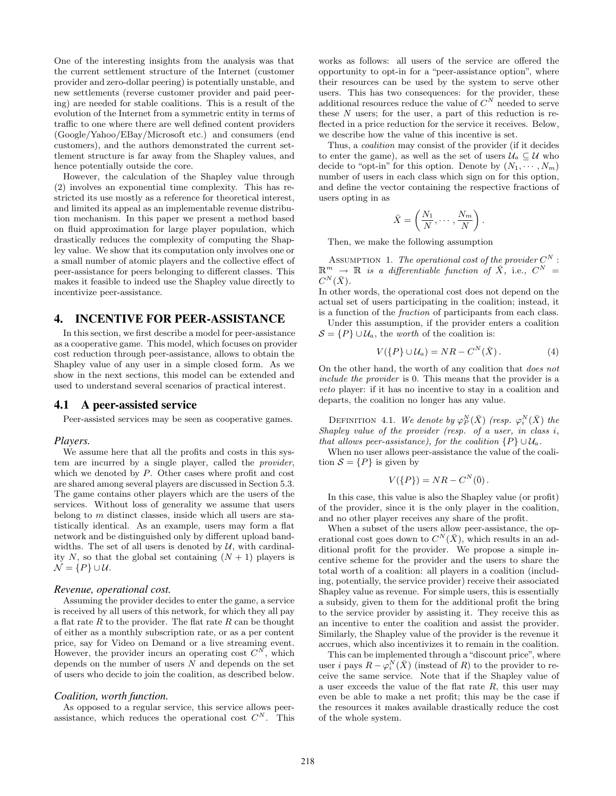One of the interesting insights from the analysis was that the current settlement structure of the Internet (customer provider and zero-dollar peering) is potentially unstable, and new settlements (reverse customer provider and paid peering) are needed for stable coalitions. This is a result of the evolution of the Internet from a symmetric entity in terms of traffic to one where there are well defined content providers (Google/Yahoo/EBay/Microsoft etc.) and consumers (end customers), and the authors demonstrated the current settlement structure is far away from the Shapley values, and hence potentially outside the core.

However, the calculation of the Shapley value through (2) involves an exponential time complexity. This has restricted its use mostly as a reference for theoretical interest, and limited its appeal as an implementable revenue distribution mechanism. In this paper we present a method based on fluid approximation for large player population, which drastically reduces the complexity of computing the Shapley value. We show that its computation only involves one or a small number of atomic players and the collective effect of peer-assistance for peers belonging to different classes. This makes it feasible to indeed use the Shapley value directly to incentivize peer-assistance.

# 4. INCENTIVE FOR PEER-ASSISTANCE

In this section, we first describe a model for peer-assistance as a cooperative game. This model, which focuses on provider cost reduction through peer-assistance, allows to obtain the Shapley value of any user in a simple closed form. As we show in the next sections, this model can be extended and used to understand several scenarios of practical interest.

#### 4.1 A peer-assisted service

Peer-assisted services may be seen as cooperative games.

#### *Players.*

We assume here that all the profits and costs in this system are incurred by a single player, called the provider, which we denoted by P. Other cases where profit and cost are shared among several players are discussed in Section 5.3. The game contains other players which are the users of the services. Without loss of generality we assume that users belong to m distinct classes, inside which all users are statistically identical. As an example, users may form a flat network and be distinguished only by different upload bandwidths. The set of all users is denoted by  $U$ , with cardinality N, so that the global set containing  $(N + 1)$  players is  $\mathcal{N} = \{P\} \cup \mathcal{U}.$ 

#### *Revenue, operational cost.*

Assuming the provider decides to enter the game, a service is received by all users of this network, for which they all pay a flat rate  $R$  to the provider. The flat rate  $R$  can be thought of either as a monthly subscription rate, or as a per content price, say for Video on Demand or a live streaming event. However, the provider incurs an operating cost  $C^N$ , which depends on the number of users  $N$  and depends on the set of users who decide to join the coalition, as described below.

#### *Coalition, worth function.*

As opposed to a regular service, this service allows peerassistance, which reduces the operational cost  $C^N$ . This

works as follows: all users of the service are offered the opportunity to opt-in for a "peer-assistance option", where their resources can be used by the system to serve other users. This has two consequences: for the provider, these additional resources reduce the value of  $C^N$  needed to serve these  $N$  users; for the user, a part of this reduction is reflected in a price reduction for the service it receives. Below, we describe how the value of this incentive is set.

Thus, a coalition may consist of the provider (if it decides to enter the game), as well as the set of users  $\mathcal{U}_a \subseteq \mathcal{U}$  who decide to "opt-in" for this option. Denote by  $(N_1, \dots, N_m)$ number of users in each class which sign on for this option, and define the vector containing the respective fractions of users opting in as

$$
\bar{X} = \left(\frac{N_1}{N}, \cdots, \frac{N_m}{N}\right).
$$

Then, we make the following assumption

ASSUMPTION 1. The operational cost of the provider  $C^N$  :  $\mathbb{R}^m$   $\rightarrow \mathbb{R}$  is a differentiable function of  $\bar{X}$ , i.e.,  $C^N =$  $C^N(\bar{X}).$ 

In other words, the operational cost does not depend on the actual set of users participating in the coalition; instead, it is a function of the fraction of participants from each class.

Under this assumption, if the provider enters a coalition  $S = {P} \cup \mathcal{U}_a$ , the *worth* of the coalition is:

$$
V(\lbrace P \rbrace \cup \mathcal{U}_a) = NR - C^N(\bar{X}). \tag{4}
$$

On the other hand, the worth of any coalition that does not include the provider is 0. This means that the provider is a veto player: if it has no incentive to stay in a coalition and departs, the coalition no longer has any value.

DEFINITION 4.1. We denote by  $\varphi_P^N(\bar X)$  (resp.  $\varphi_i^N(\bar X)$  the Shapley value of the provider (resp. of a user, in class  $i$ , that allows peer-assistance), for the coalition  $\{P\} \cup \mathcal{U}_a$ .

When no user allows peer-assistance the value of the coalition  $S = {P}$  is given by

$$
V({P}) = NR - CN(\overline{0}).
$$

In this case, this value is also the Shapley value (or profit) of the provider, since it is the only player in the coalition, and no other player receives any share of the profit.

When a subset of the users allow peer-assistance, the operational cost goes down to  $C^N(\bar{X})$ , which results in an additional profit for the provider. We propose a simple incentive scheme for the provider and the users to share the total worth of a coalition: all players in a coalition (including, potentially, the service provider) receive their associated Shapley value as revenue. For simple users, this is essentially a subsidy, given to them for the additional profit the bring to the service provider by assisting it. They receive this as an incentive to enter the coalition and assist the provider. Similarly, the Shapley value of the provider is the revenue it accrues, which also incentivizes it to remain in the coalition.

This can be implemented through a"discount price", where user *i* pays  $R - \varphi_i^N(\bar{X})$  (instead of R) to the provider to receive the same service. Note that if the Shapley value of a user exceeds the value of the flat rate  $R$ , this user may even be able to make a net profit; this may be the case if the resources it makes available drastically reduce the cost of the whole system.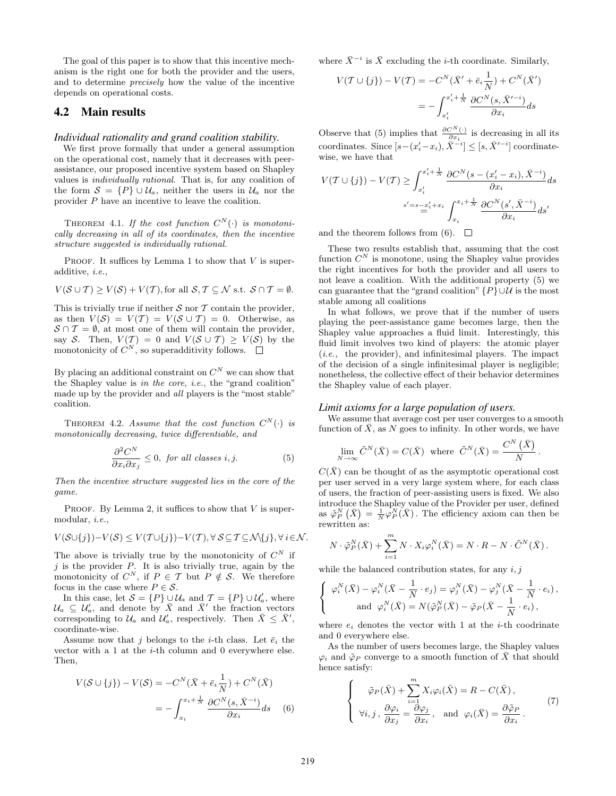The goal of this paper is to show that this incentive mechanism is the right one for both the provider and the users, and to determine precisely how the value of the incentive depends on operational costs.

# 4.2 Main results

#### *Individual rationality and grand coalition stability.*

We first prove formally that under a general assumption on the operational cost, namely that it decreases with peerassistance, our proposed incentive system based on Shapley values is individually rational. That is, for any coalition of the form  $S = {P} \cup \mathcal{U}_a$ , neither the users in  $\mathcal{U}_a$  nor the provider P have an incentive to leave the coalition.

THEOREM 4.1. If the cost function  $C^N(\cdot)$  is monotonically decreasing in all of its coordinates, then the incentive structure suggested is individually rational.

PROOF. It suffices by Lemma 1 to show that  $V$  is superadditive, i.e.,

$$
V(S \cup T) \ge V(S) + V(T)
$$
, for all  $S, T \subseteq N$  s.t.  $S \cap T = \emptyset$ .

This is trivially true if neither  $S$  nor  $T$  contain the provider, as then  $V(S) = V(T) = V(S \cup T) = 0$ . Otherwise, as  $S \cap T = \emptyset$ , at most one of them will contain the provider, say S. Then,  $V(T) = 0$  and  $V(S \cup T) \geq V(S)$  by the monotonicity of  $C^N$ , so superadditivity follows.

By placing an additional constraint on  $C^N$  we can show that the Shapley value is in the core, i.e., the "grand coalition" made up by the provider and all players is the "most stable" coalition.

THEOREM 4.2. Assume that the cost function  $C^N(\cdot)$  is monotonically decreasing, twice differentiable, and

$$
\frac{\partial^2 C^N}{\partial x_i \partial x_j} \le 0, \text{ for all classes } i, j. \tag{5}
$$

Then the incentive structure suggested lies in the core of the game.

PROOF. By Lemma 2, it suffices to show that  $V$  is supermodular, i.e.,

$$
V(\mathcal{S}\cup\{j\})-V(\mathcal{S})\leq V(\mathcal{T}\cup\{j\})-V(\mathcal{T}),\forall\,\mathcal{S}\subseteq\mathcal{T}\subseteq\mathcal{N}\{j\},\forall\,i\in\mathcal{N}.
$$

The above is trivially true by the monotonicity of  $C^N$  if j is the provider  $P$ . It is also trivially true, again by the monotonicity of  $C^N$ , if  $P \in \mathcal{T}$  but  $P \notin \mathcal{S}$ . We therefore focus in the case where  $P \in \mathcal{S}$ .

In this case, let  $S = \{P\} \cup \mathcal{U}_a$  and  $\mathcal{T} = \{P\} \cup \mathcal{U}'_a$ , where  $\mathcal{U}_a \subseteq \mathcal{U}'_a$ , and denote by  $\bar{X}$  and  $\bar{X}'$  the fraction vectors corresponding to  $\mathcal{U}_a$  and  $\mathcal{U}'_a$ , respectively. Then  $\bar{X} \leq \bar{X}'$ , coordinate-wise.

Assume now that j belongs to the *i*-th class. Let  $\bar{e}_i$  the vector with a 1 at the *i*-th column and 0 everywhere else. Then,

$$
V(S \cup \{j\}) - V(S) = -C^N(\bar{X} + \bar{e}_i \frac{1}{N}) + C^N(\bar{X})
$$

$$
= -\int_{x_i}^{x_i + \frac{1}{N}} \frac{\partial C^N(s, \bar{X}^{-i})}{\partial x_i} ds \quad (6)
$$

where  $\bar{X}^{-i}$  is  $\bar{X}$  excluding the *i*-th coordinate. Similarly,

$$
V(\mathcal{T} \cup \{j\}) - V(\mathcal{T}) = -C^N(\bar{X}' + \bar{e}_i \frac{1}{N}) + C^N(\bar{X}')
$$

$$
= -\int_{x'_i}^{x'_i + \frac{1}{N}} \frac{\partial C^N(s, \bar{X}'^{-i})}{\partial x_i} ds
$$

Observe that (5) implies that  $\frac{\partial C^N(\cdot)}{\partial x_i}$  is decreasing in all its coordinates. Since  $[s-(x'_i-x_i), \bar{X}^{-i}] \leq [s, \bar{X}'^{-i}]$  coordinatewise, we have that

$$
V(\mathcal{T} \cup \{j\}) - V(\mathcal{T}) \ge \int_{x'_i}^{x'_i + \frac{1}{N}} \frac{\partial C^N(s - (x'_i - x_i), \bar{X}^{-i})}{\partial x_i} ds
$$

$$
s' = s - x'_i + x_i \int_{x_i}^{x_i + \frac{1}{N}} \frac{\partial C^N(s', \bar{X}^{-i})}{\partial x_i} ds'
$$

and the theorem follows from (6).  $\square$ 

These two results establish that, assuming that the cost function  $C^N$  is monotone, using the Shapley value provides the right incentives for both the provider and all users to not leave a coalition. With the additional property (5) we can guarantee that the "grand coalition"  $\{P\} \cup \mathcal{U}$  is the most stable among all coalitions

In what follows, we prove that if the number of users playing the peer-assistance game becomes large, then the Shapley value approaches a fluid limit. Interestingly, this fluid limit involves two kind of players: the atomic player (i.e., the provider), and infinitesimal players. The impact of the decision of a single infinitesimal player is negligible; nonetheless, the collective effect of their behavior determines the Shapley value of each player.

#### *Limit axioms for a large population of users.*

We assume that average cost per user converges to a smooth function of  $\overline{X}$ , as N goes to infinity. In other words, we have

$$
\lim_{N \to \infty} \tilde{C}^N(\bar{X}) = C(\bar{X}) \text{ where } \tilde{C}^N(\bar{X}) = \frac{C^N(\bar{X})}{N}.
$$

 $C(\bar{X})$  can be thought of as the asymptotic operational cost per user served in a very large system where, for each class of users, the fraction of peer-assisting users is fixed. We also introduce the Shapley value of the Provider per user, defined as  $\tilde{\varphi}_P^N(\bar{X}) = \frac{1}{N} \varphi_P^N(\bar{X})$ . The efficiency axiom can then be rewritten as:

$$
N \cdot \tilde{\varphi}_P^N(\bar{X}) + \sum_{i=1}^m N \cdot X_i \varphi_i^N(\bar{X}) = N \cdot R - N \cdot \tilde{C}^N(\bar{X}).
$$

while the balanced contribution states, for any  $i, j$ 

$$
\begin{cases}\n\varphi_i^N(\bar{X}) - \varphi_i^N(\bar{X} - \frac{1}{N} \cdot e_j) = \varphi_j^N(\bar{X}) - \varphi_j^N(\bar{X} - \frac{1}{N} \cdot e_i), \\
\text{and } \varphi_i^N(\bar{X}) = N(\tilde{\varphi}_P^N(\bar{X}) - \tilde{\varphi}_P(\bar{X} - \frac{1}{N} \cdot e_i),\n\end{cases}
$$

where  $e_i$  denotes the vector with 1 at the *i*-th coodrinate and 0 everywhere else.

As the number of users becomes large, the Shapley values  $\varphi_i$  and  $\tilde{\varphi}_P$  converge to a smooth function of  $\bar{X}$  that should hence satisfy:

$$
\begin{cases}\n\tilde{\varphi}_P(\bar{X}) + \sum_{i=1}^m X_i \varphi_i(\bar{X}) = R - C(\bar{X}), \\
\forall i, j, \frac{\partial \varphi_i}{\partial x_j} = \frac{\partial \varphi_j}{\partial x_i}, \text{ and } \varphi_i(\bar{X}) = \frac{\partial \tilde{\varphi}_P}{\partial x_i}.\n\end{cases}
$$
\n(7)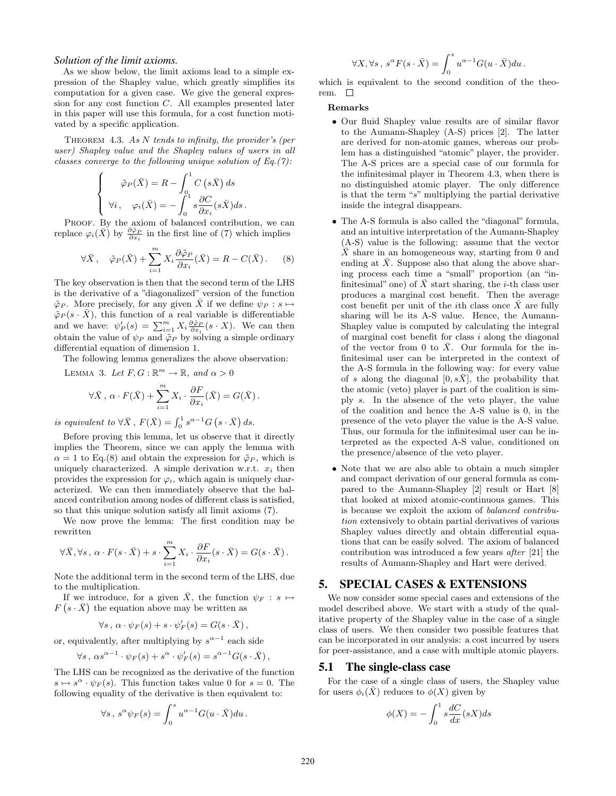### *Solution of the limit axioms.*

As we show below, the limit axioms lead to a simple expression of the Shapley value, which greatly simplifies its computation for a given case. We give the general expression for any cost function C. All examples presented later in this paper will use this formula, for a cost function motivated by a specific application.

THEOREM 4.3. As  $N$  tends to infinity, the provider's (per user) Shapley value and the Shapley values of users in all classes converge to the following unique solution of  $Eq. (7)$ :

$$
\begin{cases}\n\tilde{\varphi}_P(\bar{X}) = R - \int_0^1 C(s\bar{X}) ds \\
\forall i, \quad \varphi_i(\bar{X}) = -\int_0^1 s \frac{\partial C}{\partial x_i}(s\bar{X}) ds.\n\end{cases}
$$

PROOF. By the axiom of balanced contribution, we can replace  $\varphi_i(\bar{X})$  by  $\frac{\partial \tilde{\varphi}_P}{\partial x_i}$  in the first line of (7) which implies

$$
\forall \bar{X}, \quad \tilde{\varphi}_P(\bar{X}) + \sum_{i=1}^m X_i \frac{\partial \tilde{\varphi}_P}{\partial x_i}(\bar{X}) = R - C(\bar{X}). \tag{8}
$$

The key observation is then that the second term of the LHS is the derivative of a "diagonalized" version of the function  $\tilde{\varphi}_P$ . More precisely, for any given  $\bar{X}$  if we define  $\psi_P : s \mapsto$  $\tilde{\varphi}_P(s \cdot \bar{X})$ , this function of a real variable is differentiable and we have:  $\psi'_P(s) = \sum_{i=1}^m X_i \frac{\partial \tilde{\varphi}_P}{\partial x_i}(s \cdot X)$ . We can then obtain the value of  $\psi_P$  and  $\tilde{\varphi}_P$  by solving a simple ordinary differential equation of dimension 1.

The following lemma generalizes the above observation:

LEMMA 3. Let  $F, G : \mathbb{R}^m \to \mathbb{R}$ , and  $\alpha > 0$ 

$$
\forall \bar{X}, \alpha \cdot F(\bar{X}) + \sum_{i=1}^{m} X_i \cdot \frac{\partial F}{\partial x_i}(\bar{X}) = G(\bar{X}).
$$

is equivalent to  $\forall \bar{X}$ ,  $F(\bar{X}) = \int_0^1 s^{\alpha-1} G(s \cdot \bar{X}) ds$ .

Before proving this lemma, let us observe that it directly implies the Theorem, since we can apply the lemma with  $\alpha = 1$  to Eq.(8) and obtain the expression for  $\tilde{\varphi}_P$ , which is uniquely characterized. A simple derivation w.r.t.  $x_i$  then provides the expression for  $\varphi_i$ , which again is uniquely characterized. We can then immediately observe that the balanced contribution among nodes of different class is satisfied, so that this unique solution satisfy all limit axioms (7).

We now prove the lemma: The first condition may be rewritten

$$
\forall \bar{X}, \forall s, \alpha \cdot F(s \cdot \bar{X}) + s \cdot \sum_{i=1}^{m} X_i \cdot \frac{\partial F}{\partial x_i}(s \cdot \bar{X}) = G(s \cdot \bar{X}).
$$

Note the additional term in the second term of the LHS, due to the multiplication.

If we introduce, for a given  $\bar{X}$ , the function  $\psi_F : s \mapsto$  $F(s \cdot \bar{X})$  the equation above may be written as

$$
\forall s \, , \, \alpha \cdot \psi_F(s) + s \cdot \psi'_F(s) = G(s \cdot \bar{X}),
$$

or, equivalently, after multiplying by  $s^{\alpha-1}$  each side

$$
\forall s, \, \alpha s^{\alpha - 1} \cdot \psi_F(s) + s^\alpha \cdot \psi'_F(s) = s^{\alpha - 1} G(s \cdot \bar{X}),
$$

The LHS can be recognized as the derivative of the function  $s \mapsto s^{\alpha} \cdot \psi_F(s)$ . This function takes value 0 for  $s = 0$ . The following equality of the derivative is then equivalent to:

$$
\forall s, s^{\alpha} \psi_F(s) = \int_0^s u^{\alpha-1} G(u \cdot \bar{X}) du.
$$

$$
\forall X, \forall s, s^{\alpha} F(s \cdot \bar{X}) = \int_0^s u^{\alpha - 1} G(u \cdot \bar{X}) du.
$$

which is equivalent to the second condition of the theorem.  $\square$ 

#### Remarks

- Our fluid Shapley value results are of similar flavor to the Aumann-Shapley (A-S) prices [2]. The latter are derived for non-atomic games, whereas our problem has a distinguished "atomic" player, the provider. The A-S prices are a special case of our formula for the infinitesimal player in Theorem 4.3, when there is no distinguished atomic player. The only difference is that the term "s" multiplying the partial derivative inside the integral disappears.
- The A-S formula is also called the "diagonal" formula, and an intuitive interpretation of the Aumann-Shapley (A-S) value is the following: assume that the vector  $\bar{X}$  share in an homogeneous way, starting from 0 and ending at  $\overline{X}$ . Suppose also that along the above sharing process each time a "small" proportion (an "infinitesimal" one) of  $\bar{X}$  start sharing, the *i*-th class user produces a marginal cost benefit. Then the average cost benefit per unit of the *i*th class once  $\overline{X}$  are fully sharing will be its A-S value. Hence, the Aumann-Shapley value is computed by calculating the integral of marginal cost benefit for class i along the diagonal of the vector from 0 to  $\bar{X}$ . Our formula for the infinitesimal user can be interpreted in the context of the A-S formula in the following way: for every value of s along the diagonal  $[0, sX]$ , the probability that the atomic (veto) player is part of the coalition is simply s. In the absence of the veto player, the value of the coalition and hence the A-S value is 0, in the presence of the veto player the value is the A-S value. Thus, our formula for the infinitesimal user can be interpreted as the expected A-S value, conditioned on the presence/absence of the veto player.
- Note that we are also able to obtain a much simpler and compact derivation of our general formula as compared to the Aumann-Shapley [2] result or Hart [8] that looked at mixed atomic-continuous games. This is because we exploit the axiom of balanced contribution extensively to obtain partial derivatives of various Shapley values directly and obtain differential equations that can be easily solved. The axiom of balanced contribution was introduced a few years after [21] the results of Aumann-Shapley and Hart were derived.

# 5. SPECIAL CASES & EXTENSIONS

We now consider some special cases and extensions of the model described above. We start with a study of the qualitative property of the Shapley value in the case of a single class of users. We then consider two possible features that can be incorporated in our analysis: a cost incurred by users for peer-assistance, and a case with multiple atomic players.

## 5.1 The single-class case

For the case of a single class of users, the Shapley value for users  $\phi_i(X)$  reduces to  $\phi(X)$  given by

$$
\phi(X) = -\int_0^1 s \frac{dC}{dx} (sX) ds
$$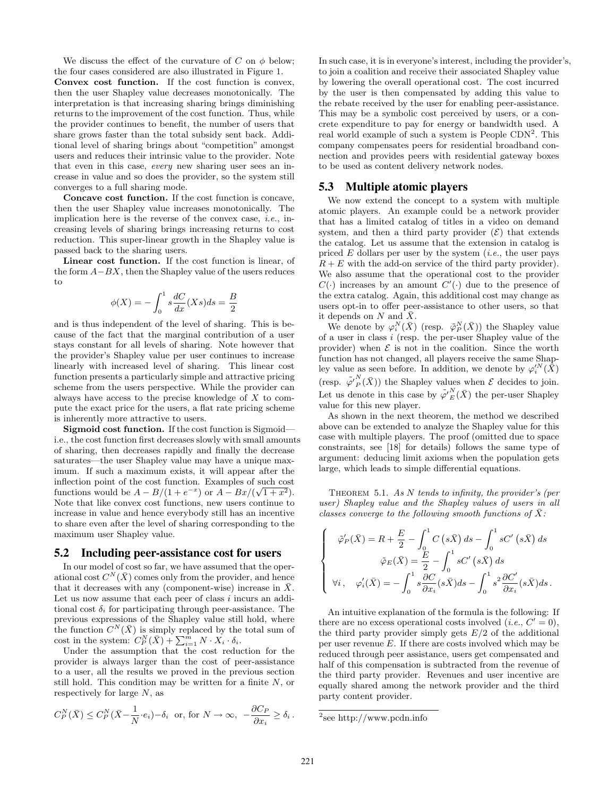We discuss the effect of the curvature of C on  $\phi$  below; the four cases considered are also illustrated in Figure 1.

Convex cost function. If the cost function is convex, then the user Shapley value decreases monotonically. The interpretation is that increasing sharing brings diminishing returns to the improvement of the cost function. Thus, while the provider continues to benefit, the number of users that share grows faster than the total subsidy sent back. Additional level of sharing brings about "competition" amongst users and reduces their intrinsic value to the provider. Note that even in this case, every new sharing user sees an increase in value and so does the provider, so the system still converges to a full sharing mode.

Concave cost function. If the cost function is concave, then the user Shapley value increases monotonically. The implication here is the reverse of the convex case, *i.e.*, increasing levels of sharing brings increasing returns to cost reduction. This super-linear growth in the Shapley value is passed back to the sharing users.

Linear cost function. If the cost function is linear, of the form  $A-BX$ , then the Shapley value of the users reduces to

$$
\phi(X) = -\int_0^1 s \frac{dC}{dx}(Xs)ds = \frac{B}{2}
$$

and is thus independent of the level of sharing. This is because of the fact that the marginal contribution of a user stays constant for all levels of sharing. Note however that the provider's Shapley value per user continues to increase linearly with increased level of sharing. This linear cost function presents a particularly simple and attractive pricing scheme from the users perspective. While the provider can always have access to the precise knowledge of X to compute the exact price for the users, a flat rate pricing scheme is inherently more attractive to users.

Sigmoid cost function. If the cost function is Sigmoid i.e., the cost function first decreases slowly with small amounts of sharing, then decreases rapidly and finally the decrease saturates—the user Shapley value may have a unique maximum. If such a maximum exists, it will appear after the inflection point of the cost function. Examples of such cost √ functions would be  $A - B/(1 + e^{-x})$  or  $A - Bx/(\sqrt{1 + x^2})$ . Note that like convex cost functions, new users continue to increase in value and hence everybody still has an incentive to share even after the level of sharing corresponding to the maximum user Shapley value.

## 5.2 Including peer-assistance cost for users

In our model of cost so far, we have assumed that the operational cost  $C^N(\bar{X})$  comes only from the provider, and hence that it decreases with any (component-wise) increase in  $\bar{X}$ . Let us now assume that each peer of class i incurs an additional cost  $\delta_i$  for participating through peer-assistance. The previous expressions of the Shapley value still hold, where the function  $C^N(\bar{X})$  is simply replaced by the total sum of cost in the system:  $C_P^N(\bar{X}) + \sum_{i=1}^m N \cdot \bar{X}_i \cdot \delta_i$ .

Under the assumption that the cost reduction for the provider is always larger than the cost of peer-assistance to a user, all the results we proved in the previous section still hold. This condition may be written for a finite  $N$ , or respectively for large N, as

$$
C_P^N(\bar{X}) \le C_P^N(\bar{X} - \frac{1}{N} \cdot e_i) - \delta_i \text{ or, for } N \to \infty, -\frac{\partial C_P}{\partial x_i} \ge \delta_i.
$$

In such case, it is in everyone's interest, including the provider's, to join a coalition and receive their associated Shapley value by lowering the overall operational cost. The cost incurred by the user is then compensated by adding this value to the rebate received by the user for enabling peer-assistance. This may be a symbolic cost perceived by users, or a concrete expenditure to pay for energy or bandwidth used. A real world example of such a system is People CDN<sup>2</sup>. This company compensates peers for residential broadband connection and provides peers with residential gateway boxes to be used as content delivery network nodes.

# 5.3 Multiple atomic players

We now extend the concept to a system with multiple atomic players. An example could be a network provider that has a limited catalog of titles in a video on demand system, and then a third party provider  $(\mathcal{E})$  that extends the catalog. Let us assume that the extension in catalog is priced  $E$  dollars per user by the system (*i.e.*, the user pays  $R + E$  with the add-on service of the third party provider). We also assume that the operational cost to the provider  $C(\cdot)$  increases by an amount  $C'(\cdot)$  due to the presence of the extra catalog. Again, this additional cost may change as users opt-in to offer peer-assistance to other users, so that it depends on N and  $\bar{X}$ .

We denote by  $\varphi_i^N(\bar{X})$  (resp.  $\tilde{\varphi}_P^N(\bar{X})$ ) the Shapley value of a user in class i (resp. the per-user Shapley value of the provider) when  $\mathcal E$  is not in the coalition. Since the worth function has not changed, all players receive the same Shapley value as seen before. In addition, we denote by  $\varphi_i^{\prime N}(\hat{\bar{X}})$ (resp.  $\tilde{\varphi}'_P^N(\bar{X})$ ) the Shapley values when  $\mathcal E$  decides to join. Let us denote in this case by  $\tilde{\varphi'}_E^N(\bar{X})$  the per-user Shapley value for this new player.

As shown in the next theorem, the method we described above can be extended to analyze the Shapley value for this case with multiple players. The proof (omitted due to space constraints, see [18] for details) follows the same type of argument: deducing limit axioms when the population gets large, which leads to simple differential equations.

THEOREM 5.1. As  $N$  tends to infinity, the provider's (per user) Shapley value and the Shapley values of users in all classes converge to the following smooth functions of  $\bar{X}$ :

$$
\begin{cases}\n\tilde{\varphi}'_P(\bar{X}) = R + \frac{E}{2} - \int_0^1 C(s\bar{X}) ds - \int_0^1 sC'(s\bar{X}) ds \\
\tilde{\varphi}_E(\bar{X}) = \frac{E}{2} - \int_0^1 sC'(s\bar{X}) ds \\
\forall i, \quad \varphi'_i(\bar{X}) = -\int_0^1 s\frac{\partial C}{\partial x_i}(s\bar{X}) ds - \int_0^1 s^2 \frac{\partial C'}{\partial x_i}(s\bar{X}) ds.\n\end{cases}
$$

An intuitive explanation of the formula is the following: If there are no excess operational costs involved  $(i.e., C' = 0)$ , the third party provider simply gets  $E/2$  of the additional per user revenue  $E$ . If there are costs involved which may be reduced through peer assistance, users get compensated and half of this compensation is subtracted from the revenue of the third party provider. Revenues and user incentive are equally shared among the network provider and the third party content provider.

<sup>2</sup> see http://www.pcdn.info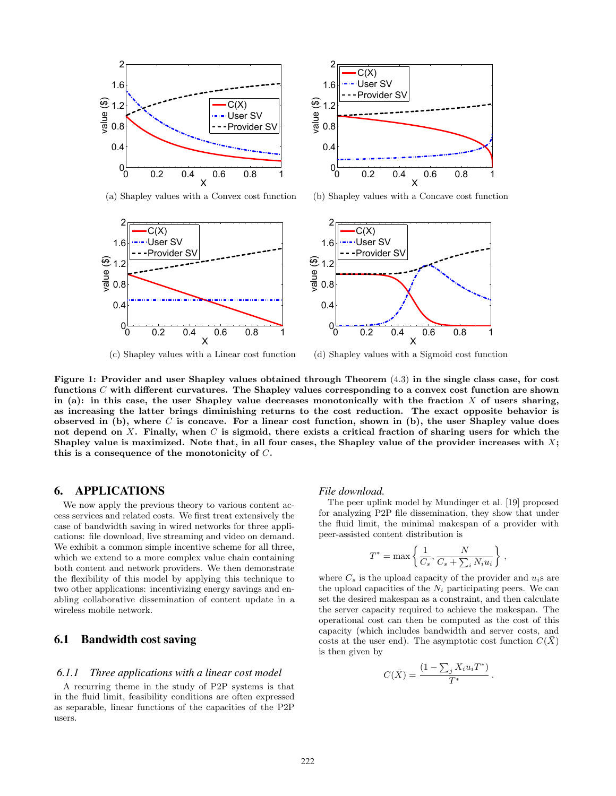



(a) Shapley values with a Convex cost function

(b) Shapley values with a Concave cost function



(c) Shapley values with a Linear cost function

(d) Shapley values with a Sigmoid cost function

Figure 1: Provider and user Shapley values obtained through Theorem (4.3) in the single class case, for cost functions  $C$  with different curvatures. The Shapley values corresponding to a convex cost function are shown in (a): in this case, the user Shapley value decreases monotonically with the fraction X of users sharing, as increasing the latter brings diminishing returns to the cost reduction. The exact opposite behavior is observed in (b), where C is concave. For a linear cost function, shown in (b), the user Shapley value does not depend on  $X$ . Finally, when  $C$  is sigmoid, there exists a critical fraction of sharing users for which the Shapley value is maximized. Note that, in all four cases, the Shapley value of the provider increases with  $X$ ; this is a consequence of the monotonicity of C.

# 6. APPLICATIONS

We now apply the previous theory to various content access services and related costs. We first treat extensively the case of bandwidth saving in wired networks for three applications: file download, live streaming and video on demand. We exhibit a common simple incentive scheme for all three, which we extend to a more complex value chain containing both content and network providers. We then demonstrate the flexibility of this model by applying this technique to two other applications: incentivizing energy savings and enabling collaborative dissemination of content update in a wireless mobile network.

# 6.1 Bandwidth cost saving

#### *6.1.1 Three applications with a linear cost model*

A recurring theme in the study of P2P systems is that in the fluid limit, feasibility conditions are often expressed as separable, linear functions of the capacities of the P2P users.

#### *File download.*

The peer uplink model by Mundinger et al. [19] proposed for analyzing P2P file dissemination, they show that under the fluid limit, the minimal makespan of a provider with peer-assisted content distribution is

$$
T^* = \max \left\{ \frac{1}{C_s}, \frac{N}{C_s + \sum_i N_i u_i} \right\},\,
$$

where  $C_s$  is the upload capacity of the provider and  $u_i$ s are the upload capacities of the  $N_i$  participating peers. We can set the desired makespan as a constraint, and then calculate the server capacity required to achieve the makespan. The operational cost can then be computed as the cost of this capacity (which includes bandwidth and server costs, and costs at the user end). The asymptotic cost function  $C(X)$ is then given by

$$
C(\bar{X}) = \frac{(1 - \sum_j X_i u_i T^*)}{T^*}.
$$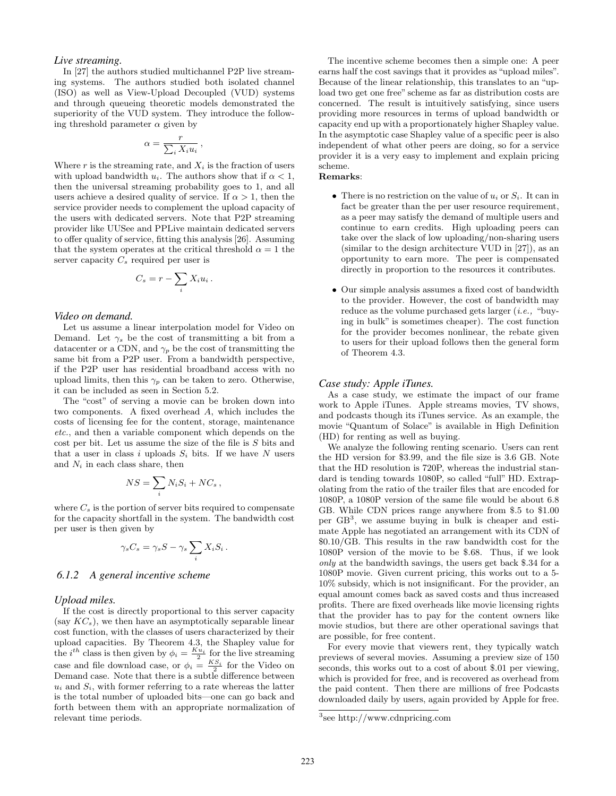## *Live streaming.*

In [27] the authors studied multichannel P2P live streaming systems. The authors studied both isolated channel (ISO) as well as View-Upload Decoupled (VUD) systems and through queueing theoretic models demonstrated the superiority of the VUD system. They introduce the following threshold parameter  $\alpha$  given by

$$
\alpha = \frac{r}{\sum_{i} X_i u_i}
$$

,

Where  $r$  is the streaming rate, and  $X_i$  is the fraction of users with upload bandwidth  $u_i$ . The authors show that if  $\alpha < 1$ , then the universal streaming probability goes to 1, and all users achieve a desired quality of service. If  $\alpha > 1$ , then the service provider needs to complement the upload capacity of the users with dedicated servers. Note that P2P streaming provider like UUSee and PPLive maintain dedicated servers to offer quality of service, fitting this analysis [26]. Assuming that the system operates at the critical threshold  $\alpha = 1$  the server capacity  $C_s$  required per user is

$$
C_s = r - \sum_i X_i u_i \, .
$$

### *Video on demand.*

Let us assume a linear interpolation model for Video on Demand. Let  $\gamma_s$  be the cost of transmitting a bit from a datacenter or a CDN, and  $\gamma_p$  be the cost of transmitting the same bit from a P2P user. From a bandwidth perspective, if the P2P user has residential broadband access with no upload limits, then this  $\gamma_p$  can be taken to zero. Otherwise, it can be included as seen in Section 5.2.

The "cost" of serving a movie can be broken down into two components. A fixed overhead A, which includes the costs of licensing fee for the content, storage, maintenance etc., and then a variable component which depends on the cost per bit. Let us assume the size of the file is S bits and that a user in class i uploads  $S_i$  bits. If we have N users and  $N_i$  in each class share, then

$$
NS = \sum_i N_i S_i + NC_s \,,
$$

where  $C_s$  is the portion of server bits required to compensate for the capacity shortfall in the system. The bandwidth cost per user is then given by

$$
\gamma_s C_s = \gamma_s S - \gamma_s \sum_i X_i S_i \,.
$$

## *6.1.2 A general incentive scheme*

## *Upload miles.*

If the cost is directly proportional to this server capacity (say  $KC_s$ ), we then have an asymptotically separable linear cost function, with the classes of users characterized by their<br>upload capacities. By Theorem 4.3, the Shapley value for upload capacities. By Theorem 4.3, the Shapley value for the *i*<sup>th</sup> class is then given by  $\phi_i = \frac{K u_i}{2}$  for the live streaming case and file download case, or  $\phi_i = \frac{KS_i}{2}$  for the Video on Demand case. Note that there is a subtle difference between  $u_i$  and  $S_i$ , with former referring to a rate whereas the latter is the total number of uploaded bits—one can go back and forth between them with an appropriate normalization of relevant time periods.

The incentive scheme becomes then a simple one: A peer earns half the cost savings that it provides as "upload miles". Because of the linear relationship, this translates to an "upload two get one free" scheme as far as distribution costs are concerned. The result is intuitively satisfying, since users providing more resources in terms of upload bandwidth or capacity end up with a proportionately higher Shapley value. In the asymptotic case Shapley value of a specific peer is also independent of what other peers are doing, so for a service provider it is a very easy to implement and explain pricing scheme.

#### Remarks:

- There is no restriction on the value of  $u_i$  or  $S_i$ . It can in fact be greater than the per user resource requirement, as a peer may satisfy the demand of multiple users and continue to earn credits. High uploading peers can take over the slack of low uploading/non-sharing users (similar to the design architecture VUD in [27]), as an opportunity to earn more. The peer is compensated directly in proportion to the resources it contributes.
- Our simple analysis assumes a fixed cost of bandwidth to the provider. However, the cost of bandwidth may reduce as the volume purchased gets larger  $(i.e.,$  "buying in bulk" is sometimes cheaper). The cost function for the provider becomes nonlinear, the rebate given to users for their upload follows then the general form of Theorem 4.3.

### *Case study: Apple iTunes.*

As a case study, we estimate the impact of our frame work to Apple iTunes. Apple streams movies, TV shows, and podcasts though its iTunes service. As an example, the movie "Quantum of Solace" is available in High Definition (HD) for renting as well as buying.

We analyze the following renting scenario. Users can rent the HD version for \$3.99, and the file size is 3.6 GB. Note that the HD resolution is 720P, whereas the industrial standard is tending towards 1080P, so called "full" HD. Extrapolating from the ratio of the trailer files that are encoded for 1080P, a 1080P version of the same file would be about 6.8 GB. While CDN prices range anywhere from \$.5 to \$1.00 per GB<sup>3</sup> , we assume buying in bulk is cheaper and estimate Apple has negotiated an arrangement with its CDN of \$0.10/GB. This results in the raw bandwidth cost for the 1080P version of the movie to be \$.68. Thus, if we look only at the bandwidth savings, the users get back \$.34 for a 1080P movie. Given current pricing, this works out to a 5- 10% subsidy, which is not insignificant. For the provider, an equal amount comes back as saved costs and thus increased profits. There are fixed overheads like movie licensing rights that the provider has to pay for the content owners like movie studios, but there are other operational savings that are possible, for free content.

For every movie that viewers rent, they typically watch previews of several movies. Assuming a preview size of 150 seconds, this works out to a cost of about \$.01 per viewing, which is provided for free, and is recovered as overhead from the paid content. Then there are millions of free Podcasts downloaded daily by users, again provided by Apple for free.

<sup>3</sup> see http://www.cdnpricing.com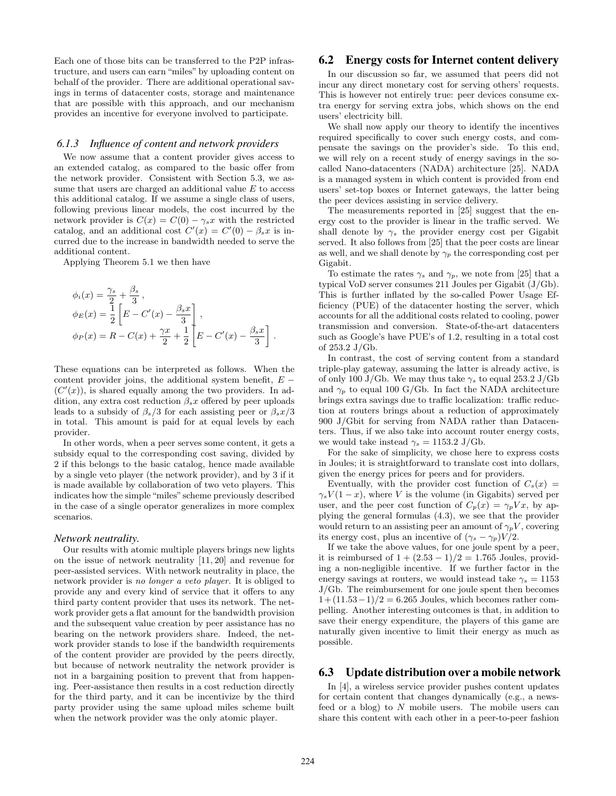Each one of those bits can be transferred to the P2P infrastructure, and users can earn "miles" by uploading content on behalf of the provider. There are additional operational savings in terms of datacenter costs, storage and maintenance that are possible with this approach, and our mechanism provides an incentive for everyone involved to participate.

# *6.1.3 Influence of content and network providers*

We now assume that a content provider gives access to an extended catalog, as compared to the basic offer from the network provider. Consistent with Section 5.3, we assume that users are charged an additional value  $E$  to access this additional catalog. If we assume a single class of users, following previous linear models, the cost incurred by the network provider is  $C(x) = C(0) - \gamma_s x$  with the restricted catalog, and an additional cost  $C'(x) = C'(0) - \beta_s x$  is incurred due to the increase in bandwidth needed to serve the additional content.

Applying Theorem 5.1 we then have

$$
\phi_i(x) = \frac{\gamma_s}{2} + \frac{\beta_s}{3},
$$
  
\n
$$
\phi_E(x) = \frac{1}{2} \left[ E - C'(x) - \frac{\beta_s x}{3} \right],
$$
  
\n
$$
\phi_P(x) = R - C(x) + \frac{\gamma x}{2} + \frac{1}{2} \left[ E - C'(x) - \frac{\beta_s x}{3} \right]
$$

.

These equations can be interpreted as follows. When the content provider joins, the additional system benefit,  $E (C'(x))$ , is shared equally among the two providers. In addition, any extra cost reduction  $\beta_s x$  offered by peer uploads leads to a subsidy of  $\beta_s/3$  for each assisting peer or  $\beta_s x/3$ in total. This amount is paid for at equal levels by each provider.

In other words, when a peer serves some content, it gets a subsidy equal to the corresponding cost saving, divided by 2 if this belongs to the basic catalog, hence made available by a single veto player (the network provider), and by 3 if it is made available by collaboration of two veto players. This indicates how the simple "miles" scheme previously described in the case of a single operator generalizes in more complex scenarios.

#### *Network neutrality.*

Our results with atomic multiple players brings new lights on the issue of network neutrality [11, 20] and revenue for peer-assisted services. With network neutrality in place, the network provider is no longer a veto player. It is obliged to provide any and every kind of service that it offers to any third party content provider that uses its network. The network provider gets a flat amount for the bandwidth provision and the subsequent value creation by peer assistance has no bearing on the network providers share. Indeed, the network provider stands to lose if the bandwidth requirements of the content provider are provided by the peers directly, but because of network neutrality the network provider is not in a bargaining position to prevent that from happening. Peer-assistance then results in a cost reduction directly for the third party, and it can be incentivize by the third party provider using the same upload miles scheme built when the network provider was the only atomic player.

# 6.2 Energy costs for Internet content delivery

In our discussion so far, we assumed that peers did not incur any direct monetary cost for serving others' requests. This is however not entirely true: peer devices consume extra energy for serving extra jobs, which shows on the end users' electricity bill.

We shall now apply our theory to identify the incentives required specifically to cover such energy costs, and compensate the savings on the provider's side. To this end, we will rely on a recent study of energy savings in the socalled Nano-datacenters (NADA) architecture [25]. NADA is a managed system in which content is provided from end users' set-top boxes or Internet gateways, the latter being the peer devices assisting in service delivery.

The measurements reported in [25] suggest that the energy cost to the provider is linear in the traffic served. We shall denote by  $\gamma_s$  the provider energy cost per Gigabit served. It also follows from [25] that the peer costs are linear as well, and we shall denote by  $\gamma_p$  the corresponding cost per Gigabit.

To estimate the rates  $\gamma_s$  and  $\gamma_p$ , we note from [25] that a typical VoD server consumes 211 Joules per Gigabit (J/Gb). This is further inflated by the so-called Power Usage Efficiency (PUE) of the datacenter hosting the server, which accounts for all the additional costs related to cooling, power transmission and conversion. State-of-the-art datacenters such as Google's have PUE's of 1.2, resulting in a total cost of 253.2 J/Gb.

In contrast, the cost of serving content from a standard triple-play gateway, assuming the latter is already active, is of only 100 J/Gb. We may thus take  $\gamma_s$  to equal 253.2 J/Gb and  $\gamma_p$  to equal 100 G/Gb. In fact the NADA architecture brings extra savings due to traffic localization: traffic reduction at routers brings about a reduction of approximately 900 J/Gbit for serving from NADA rather than Datacenters. Thus, if we also take into account router energy costs, we would take instead  $\gamma_s = 1153.2 \text{ J/Gb.}$ 

For the sake of simplicity, we chose here to express costs in Joules; it is straightforward to translate cost into dollars, given the energy prices for peers and for providers.

Eventually, with the provider cost function of  $C_s(x)$  =  $\gamma_s V(1-x)$ , where V is the volume (in Gigabits) served per user, and the peer cost function of  $C_p(x) = \gamma_p V x$ , by applying the general formulas (4.3), we see that the provider would return to an assisting peer an amount of  $\gamma_p V$ , covering its energy cost, plus an incentive of  $(\gamma_s - \gamma_p)V/2$ .

If we take the above values, for one joule spent by a peer, it is reimbursed of  $1 + (2.53 - 1)/2 = 1.765$  Joules, providing a non-negligible incentive. If we further factor in the energy savings at routers, we would instead take  $\gamma_s = 1153$ J/Gb. The reimbursement for one joule spent then becomes  $1+(11.53-1)/2=6.265$  Joules, which becomes rather compelling. Another interesting outcomes is that, in addition to save their energy expenditure, the players of this game are naturally given incentive to limit their energy as much as possible.

# 6.3 Update distribution over a mobile network

In [4], a wireless service provider pushes content updates for certain content that changes dynamically (e.g., a newsfeed or a blog) to  $N$  mobile users. The mobile users can share this content with each other in a peer-to-peer fashion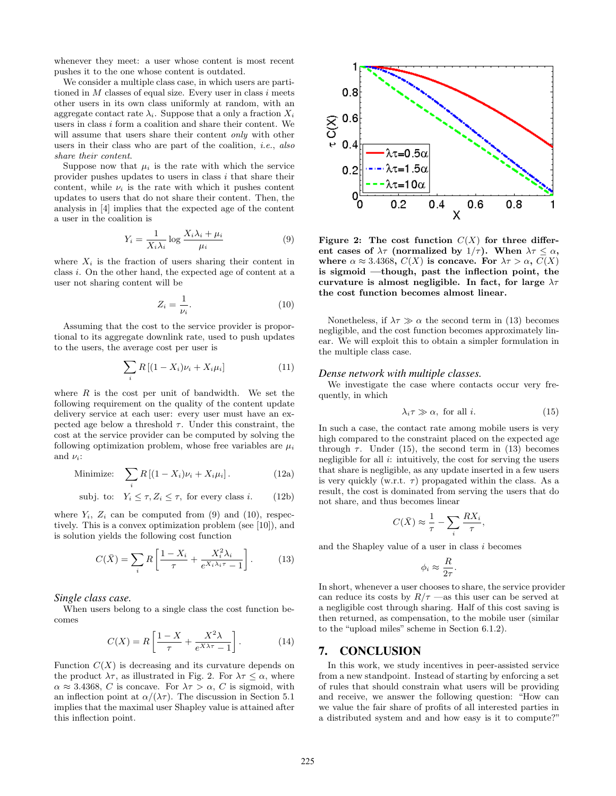whenever they meet: a user whose content is most recent pushes it to the one whose content is outdated.

We consider a multiple class case, in which users are partitioned in  $M$  classes of equal size. Every user in class  $i$  meets other users in its own class uniformly at random, with an aggregate contact rate  $\lambda_i$ . Suppose that a only a fraction  $X_i$ users in class i form a coalition and share their content. We will assume that users share their content *only* with other users in their class who are part of the coalition, *i.e.*, *also* share their content.

Suppose now that  $\mu_i$  is the rate with which the service provider pushes updates to users in class  $i$  that share their content, while  $\nu_i$  is the rate with which it pushes content updates to users that do not share their content. Then, the analysis in [4] implies that the expected age of the content a user in the coalition is

$$
Y_i = \frac{1}{X_i \lambda_i} \log \frac{X_i \lambda_i + \mu_i}{\mu_i} \tag{9}
$$

where  $X_i$  is the fraction of users sharing their content in class i. On the other hand, the expected age of content at a user not sharing content will be

$$
Z_i = \frac{1}{\nu_i}.\tag{10}
$$

Assuming that the cost to the service provider is proportional to its aggregate downlink rate, used to push updates to the users, the average cost per user is

$$
\sum_{i} R\left[ (1 - X_i)\nu_i + X_i \mu_i \right] \tag{11}
$$

where  $R$  is the cost per unit of bandwidth. We set the following requirement on the quality of the content update delivery service at each user: every user must have an expected age below a threshold  $\tau$ . Under this constraint, the cost at the service provider can be computed by solving the following optimization problem, whose free variables are  $\mu_i$ and  $\nu_i$ :

Minimize: 
$$
\sum_{i} R\left[ (1 - X_i)\nu_i + X_i\mu_i \right].
$$
 (12a)

$$
subj. to: Y_i \le \tau, Z_i \le \tau, \text{ for every class } i. \tag{12b}
$$

where  $Y_i$ ,  $Z_i$  can be computed from (9) and (10), respectively. This is a convex optimization problem (see [10]), and is solution yields the following cost function

$$
C(\bar{X}) = \sum_{i} R\left[\frac{1 - X_i}{\tau} + \frac{X_i^2 \lambda_i}{e^{X_i \lambda_i \tau} - 1}\right].
$$
 (13)

*Single class case.*

When users belong to a single class the cost function becomes

$$
C(X) = R\left[\frac{1-X}{\tau} + \frac{X^2\lambda}{e^{X\lambda\tau} - 1}\right].
$$
 (14)

Function  $C(X)$  is decreasing and its curvature depends on the product  $\lambda \tau$ , as illustrated in Fig. 2. For  $\lambda \tau \leq \alpha$ , where  $\alpha \approx 3.4368$ , C is concave. For  $\lambda \tau > \alpha$ , C is sigmoid, with an inflection point at  $\alpha/(\lambda \tau)$ . The discussion in Section 5.1 implies that the maximal user Shapley value is attained after this inflection point.



Figure 2: The cost function  $C(X)$  for three different cases of  $\lambda \tau$  (normalized by  $1/\tau$ ). When  $\lambda \tau \leq \alpha$ , where  $\alpha \approx 3.4368$ ,  $C(X)$  is concave. For  $\lambda \tau > \alpha$ ,  $C(X)$ is sigmoid —though, past the inflection point, the curvature is almost negligible. In fact, for large  $\lambda \tau$ the cost function becomes almost linear.

Nonetheless, if  $\lambda \tau \gg \alpha$  the second term in (13) becomes negligible, and the cost function becomes approximately linear. We will exploit this to obtain a simpler formulation in the multiple class case.

#### *Dense network with multiple classes.*

We investigate the case where contacts occur very frequently, in which

$$
\lambda_i \tau \gg \alpha, \text{ for all } i. \tag{15}
$$

In such a case, the contact rate among mobile users is very high compared to the constraint placed on the expected age through  $\tau$ . Under (15), the second term in (13) becomes negligible for all  $i$ : intuitively, the cost for serving the users that share is negligible, as any update inserted in a few users is very quickly (w.r.t.  $\tau$ ) propagated within the class. As a result, the cost is dominated from serving the users that do not share, and thus becomes linear

$$
C(\bar{X}) \approx \frac{1}{\tau} - \sum_{i} \frac{RX_i}{\tau},
$$

and the Shapley value of a user in class  $i$  becomes

$$
\phi_i \approx \frac{R}{2\tau}.
$$

In short, whenever a user chooses to share, the service provider can reduce its costs by  $R/\tau$  —as this user can be served at a negligible cost through sharing. Half of this cost saving is then returned, as compensation, to the mobile user (similar to the "upload miles" scheme in Section 6.1.2).

# 7. CONCLUSION

In this work, we study incentives in peer-assisted service from a new standpoint. Instead of starting by enforcing a set of rules that should constrain what users will be providing and receive, we answer the following question: "How can we value the fair share of profits of all interested parties in a distributed system and and how easy is it to compute?"